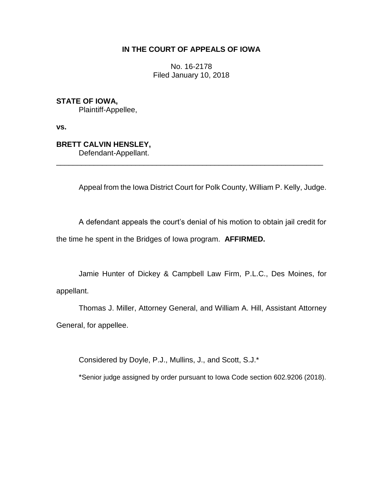## **IN THE COURT OF APPEALS OF IOWA**

No. 16-2178 Filed January 10, 2018

**STATE OF IOWA,**

Plaintiff-Appellee,

**vs.**

# **BRETT CALVIN HENSLEY,**

Defendant-Appellant.

Appeal from the Iowa District Court for Polk County, William P. Kelly, Judge.

A defendant appeals the court's denial of his motion to obtain jail credit for the time he spent in the Bridges of Iowa program. **AFFIRMED.**

\_\_\_\_\_\_\_\_\_\_\_\_\_\_\_\_\_\_\_\_\_\_\_\_\_\_\_\_\_\_\_\_\_\_\_\_\_\_\_\_\_\_\_\_\_\_\_\_\_\_\_\_\_\_\_\_\_\_\_\_\_\_\_\_

Jamie Hunter of Dickey & Campbell Law Firm, P.L.C., Des Moines, for appellant.

Thomas J. Miller, Attorney General, and William A. Hill, Assistant Attorney General, for appellee.

Considered by Doyle, P.J., Mullins, J., and Scott, S.J.\*

\*Senior judge assigned by order pursuant to Iowa Code section 602.9206 (2018).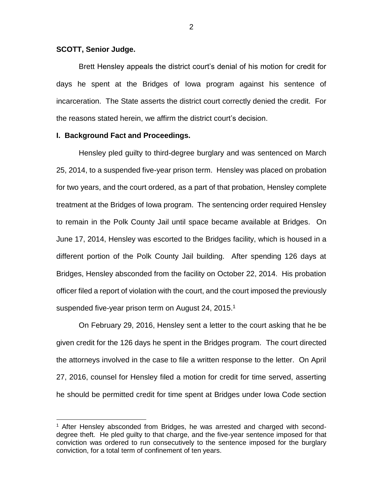### **SCOTT, Senior Judge.**

 $\overline{a}$ 

Brett Hensley appeals the district court's denial of his motion for credit for days he spent at the Bridges of Iowa program against his sentence of incarceration. The State asserts the district court correctly denied the credit. For the reasons stated herein, we affirm the district court's decision.

#### **I. Background Fact and Proceedings.**

Hensley pled guilty to third-degree burglary and was sentenced on March 25, 2014, to a suspended five-year prison term. Hensley was placed on probation for two years, and the court ordered, as a part of that probation, Hensley complete treatment at the Bridges of Iowa program. The sentencing order required Hensley to remain in the Polk County Jail until space became available at Bridges. On June 17, 2014, Hensley was escorted to the Bridges facility, which is housed in a different portion of the Polk County Jail building. After spending 126 days at Bridges, Hensley absconded from the facility on October 22, 2014. His probation officer filed a report of violation with the court, and the court imposed the previously suspended five-year prison term on August 24, 2015.<sup>1</sup>

On February 29, 2016, Hensley sent a letter to the court asking that he be given credit for the 126 days he spent in the Bridges program. The court directed the attorneys involved in the case to file a written response to the letter. On April 27, 2016, counsel for Hensley filed a motion for credit for time served, asserting he should be permitted credit for time spent at Bridges under Iowa Code section

<sup>&</sup>lt;sup>1</sup> After Hensley absconded from Bridges, he was arrested and charged with seconddegree theft. He pled guilty to that charge, and the five-year sentence imposed for that conviction was ordered to run consecutively to the sentence imposed for the burglary conviction, for a total term of confinement of ten years.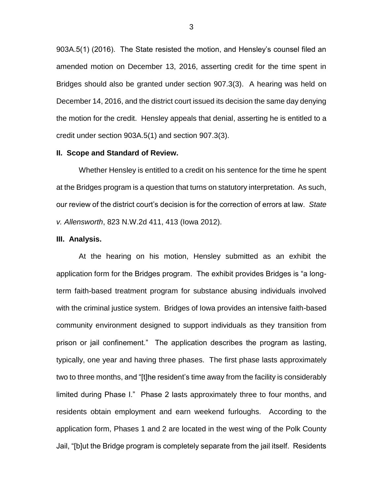903A.5(1) (2016). The State resisted the motion, and Hensley's counsel filed an amended motion on December 13, 2016, asserting credit for the time spent in Bridges should also be granted under section 907.3(3). A hearing was held on December 14, 2016, and the district court issued its decision the same day denying the motion for the credit. Hensley appeals that denial, asserting he is entitled to a credit under section 903A.5(1) and section 907.3(3).

#### **II. Scope and Standard of Review.**

Whether Hensley is entitled to a credit on his sentence for the time he spent at the Bridges program is a question that turns on statutory interpretation. As such, our review of the district court's decision is for the correction of errors at law. *State v. Allensworth*, 823 N.W.2d 411, 413 (Iowa 2012).

### **III. Analysis.**

At the hearing on his motion, Hensley submitted as an exhibit the application form for the Bridges program. The exhibit provides Bridges is "a longterm faith-based treatment program for substance abusing individuals involved with the criminal justice system. Bridges of Iowa provides an intensive faith-based community environment designed to support individuals as they transition from prison or jail confinement." The application describes the program as lasting, typically, one year and having three phases. The first phase lasts approximately two to three months, and "[t]he resident's time away from the facility is considerably limited during Phase I." Phase 2 lasts approximately three to four months, and residents obtain employment and earn weekend furloughs. According to the application form, Phases 1 and 2 are located in the west wing of the Polk County Jail, "[b]ut the Bridge program is completely separate from the jail itself. Residents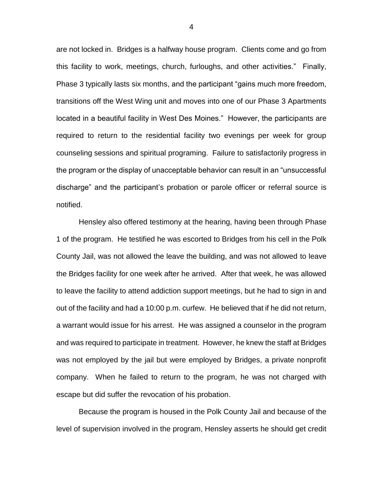are not locked in. Bridges is a halfway house program. Clients come and go from this facility to work, meetings, church, furloughs, and other activities." Finally, Phase 3 typically lasts six months, and the participant "gains much more freedom, transitions off the West Wing unit and moves into one of our Phase 3 Apartments located in a beautiful facility in West Des Moines." However, the participants are required to return to the residential facility two evenings per week for group counseling sessions and spiritual programing. Failure to satisfactorily progress in the program or the display of unacceptable behavior can result in an "unsuccessful discharge" and the participant's probation or parole officer or referral source is notified.

Hensley also offered testimony at the hearing, having been through Phase 1 of the program. He testified he was escorted to Bridges from his cell in the Polk County Jail, was not allowed the leave the building, and was not allowed to leave the Bridges facility for one week after he arrived. After that week, he was allowed to leave the facility to attend addiction support meetings, but he had to sign in and out of the facility and had a 10:00 p.m. curfew. He believed that if he did not return, a warrant would issue for his arrest. He was assigned a counselor in the program and was required to participate in treatment. However, he knew the staff at Bridges was not employed by the jail but were employed by Bridges, a private nonprofit company. When he failed to return to the program, he was not charged with escape but did suffer the revocation of his probation.

Because the program is housed in the Polk County Jail and because of the level of supervision involved in the program, Hensley asserts he should get credit

4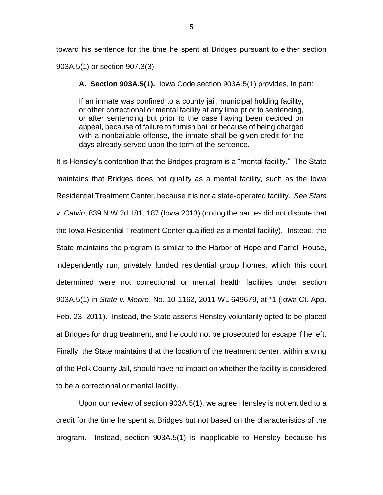toward his sentence for the time he spent at Bridges pursuant to either section 903A.5(1) or section 907.3(3).

**A. Section 903A.5(1).** Iowa Code section 903A.5(1) provides, in part:

If an inmate was confined to a county jail, municipal holding facility, or other correctional or mental facility at any time prior to sentencing, or after sentencing but prior to the case having been decided on appeal, because of failure to furnish bail or because of being charged with a nonbailable offense, the inmate shall be given credit for the days already served upon the term of the sentence.

It is Hensley's contention that the Bridges program is a "mental facility." The State maintains that Bridges does not qualify as a mental facility, such as the Iowa Residential Treatment Center, because it is not a state-operated facility. *See State v. Calvin*, 839 N.W.2d 181, 187 (Iowa 2013) (noting the parties did not dispute that the Iowa Residential Treatment Center qualified as a mental facility). Instead, the State maintains the program is similar to the Harbor of Hope and Farrell House, independently run, privately funded residential group homes, which this court determined were not correctional or mental health facilities under section 903A.5(1) in *State v. Moore*, No. 10-1162, 2011 WL 649679, at \*1 (Iowa Ct. App. Feb. 23, 2011). Instead, the State asserts Hensley voluntarily opted to be placed at Bridges for drug treatment, and he could not be prosecuted for escape if he left. Finally, the State maintains that the location of the treatment center, within a wing of the Polk County Jail, should have no impact on whether the facility is considered to be a correctional or mental facility.

Upon our review of section 903A.5(1), we agree Hensley is not entitled to a credit for the time he spent at Bridges but not based on the characteristics of the program. Instead, section 903A.5(1) is inapplicable to Hensley because his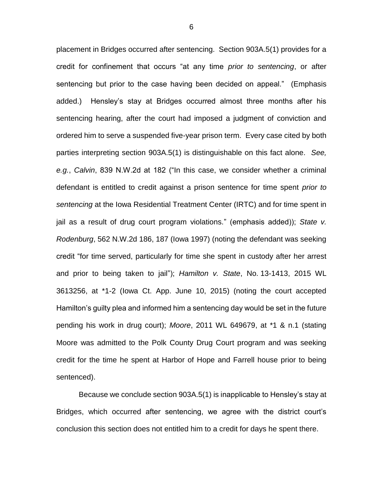placement in Bridges occurred after sentencing. Section 903A.5(1) provides for a credit for confinement that occurs "at any time *prior to sentencing*, or after sentencing but prior to the case having been decided on appeal." (Emphasis added.) Hensley's stay at Bridges occurred almost three months after his sentencing hearing, after the court had imposed a judgment of conviction and ordered him to serve a suspended five-year prison term. Every case cited by both parties interpreting section 903A.5(1) is distinguishable on this fact alone. *See, e.g.*, *Calvin*, 839 N.W.2d at 182 ("In this case, we consider whether a criminal defendant is entitled to credit against a prison sentence for time spent *prior to sentencing* at the Iowa Residential Treatment Center (IRTC) and for time spent in jail as a result of drug court program violations." (emphasis added)); *State v. Rodenburg*, 562 N.W.2d 186, 187 (Iowa 1997) (noting the defendant was seeking credit "for time served, particularly for time she spent in custody after her arrest and prior to being taken to jail"); *Hamilton v. State*, No. 13-1413, 2015 WL 3613256, at \*1-2 (Iowa Ct. App. June 10, 2015) (noting the court accepted Hamilton's guilty plea and informed him a sentencing day would be set in the future pending his work in drug court); *Moore*, 2011 WL 649679, at \*1 & n.1 (stating Moore was admitted to the Polk County Drug Court program and was seeking credit for the time he spent at Harbor of Hope and Farrell house prior to being sentenced).

Because we conclude section 903A.5(1) is inapplicable to Hensley's stay at Bridges, which occurred after sentencing, we agree with the district court's conclusion this section does not entitled him to a credit for days he spent there.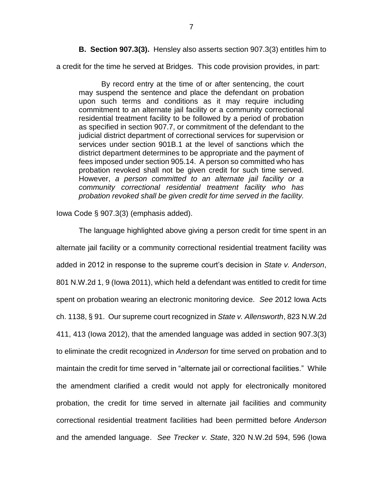**B. Section 907.3(3).** Hensley also asserts section 907.3(3) entitles him to

a credit for the time he served at Bridges. This code provision provides, in part:

By record entry at the time of or after sentencing, the court may suspend the sentence and place the defendant on probation upon such terms and conditions as it may require including commitment to an alternate jail facility or a community correctional residential treatment facility to be followed by a period of probation as specified in section 907.7, or commitment of the defendant to the judicial district department of correctional services for supervision or services under section 901B.1 at the level of sanctions which the district department determines to be appropriate and the payment of fees imposed under section 905.14. A person so committed who has probation revoked shall not be given credit for such time served. However, *a person committed to an alternate jail facility or a community correctional residential treatment facility who has probation revoked shall be given credit for time served in the facility.*

Iowa Code § 907.3(3) (emphasis added).

The language highlighted above giving a person credit for time spent in an alternate jail facility or a community correctional residential treatment facility was added in 2012 in response to the supreme court's decision in *State v. Anderson*, 801 N.W.2d 1, 9 (Iowa 2011), which held a defendant was entitled to credit for time spent on probation wearing an electronic monitoring device. *See* 2012 Iowa Acts ch. 1138, § 91. Our supreme court recognized in *State v. Allensworth*, 823 N.W.2d 411, 413 (Iowa 2012), that the amended language was added in section 907.3(3) to eliminate the credit recognized in *Anderson* for time served on probation and to maintain the credit for time served in "alternate jail or correctional facilities." While the amendment clarified a credit would not apply for electronically monitored probation, the credit for time served in alternate jail facilities and community correctional residential treatment facilities had been permitted before *Anderson*  and the amended language. *See Trecker v. State*, 320 N.W.2d 594, 596 (Iowa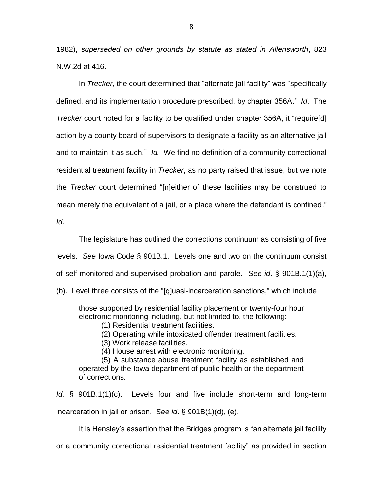1982), *superseded on other grounds by statute as stated in Allensworth*, 823 N.W.2d at 416.

In *Trecker*, the court determined that "alternate jail facility" was "specifically defined, and its implementation procedure prescribed, by chapter 356A." *Id*. The *Trecker* court noted for a facility to be qualified under chapter 356A, it "require[d] action by a county board of supervisors to designate a facility as an alternative jail and to maintain it as such." *Id.* We find no definition of a community correctional residential treatment facility in *Trecker*, as no party raised that issue, but we note the *Trecker* court determined "[n]either of these facilities may be construed to mean merely the equivalent of a jail, or a place where the defendant is confined." *Id*.

The legislature has outlined the corrections continuum as consisting of five levels. *See* Iowa Code § 901B.1. Levels one and two on the continuum consist of self-monitored and supervised probation and parole. *See id*. § 901B.1(1)(a),

(b). Level three consists of the "[q]uasi-incarceration sanctions," which include

those supported by residential facility placement or twenty-four hour electronic monitoring including, but not limited to, the following:

(1) Residential treatment facilities.

(2) Operating while intoxicated offender treatment facilities.

(3) Work release facilities.

(4) House arrest with electronic monitoring.

(5) A substance abuse treatment facility as established and operated by the Iowa department of public health or the department of corrections.

*Id.* § 901B.1(1)(c). Levels four and five include short-term and long-term incarceration in jail or prison. *See id*. § 901B(1)(d), (e).

It is Hensley's assertion that the Bridges program is "an alternate jail facility

or a community correctional residential treatment facility" as provided in section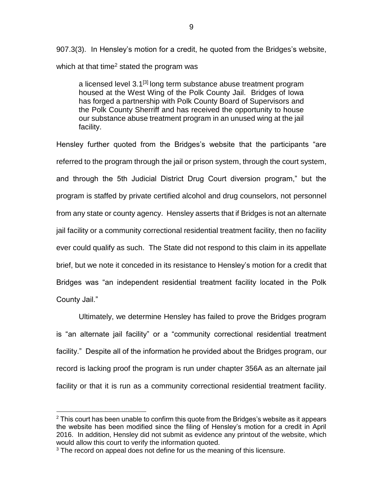907.3(3). In Hensley's motion for a credit, he quoted from the Bridges's website, which at that time<sup>2</sup> stated the program was

a licensed level 3.1<sup>[3]</sup> long term substance abuse treatment program housed at the West Wing of the Polk County Jail. Bridges of Iowa has forged a partnership with Polk County Board of Supervisors and the Polk County Sherriff and has received the opportunity to house our substance abuse treatment program in an unused wing at the jail facility.

Hensley further quoted from the Bridges's website that the participants "are referred to the program through the jail or prison system, through the court system, and through the 5th Judicial District Drug Court diversion program," but the program is staffed by private certified alcohol and drug counselors, not personnel from any state or county agency. Hensley asserts that if Bridges is not an alternate jail facility or a community correctional residential treatment facility, then no facility ever could qualify as such. The State did not respond to this claim in its appellate brief, but we note it conceded in its resistance to Hensley's motion for a credit that Bridges was "an independent residential treatment facility located in the Polk County Jail."

Ultimately, we determine Hensley has failed to prove the Bridges program is "an alternate jail facility" or a "community correctional residential treatment facility." Despite all of the information he provided about the Bridges program, our record is lacking proof the program is run under chapter 356A as an alternate jail facility or that it is run as a community correctional residential treatment facility.

 $\overline{a}$ 

 $2$  This court has been unable to confirm this quote from the Bridges's website as it appears the website has been modified since the filing of Hensley's motion for a credit in April 2016. In addition, Hensley did not submit as evidence any printout of the website, which would allow this court to verify the information quoted.

<sup>&</sup>lt;sup>3</sup> The record on appeal does not define for us the meaning of this licensure.